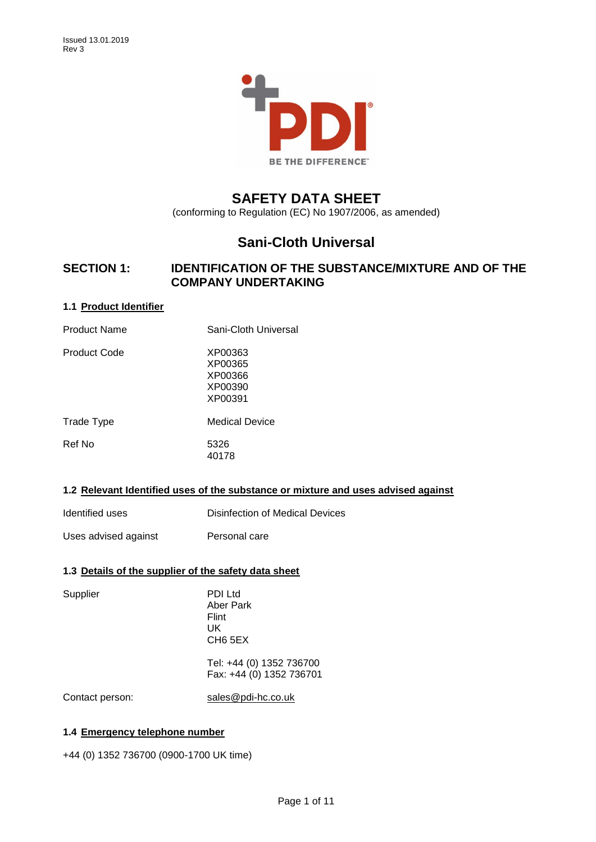

# **SAFETY DATA SHEET**

(conforming to Regulation (EC) No 1907/2006, as amended)

# **Sani-Cloth Universal**

## **SECTION 1: IDENTIFICATION OF THE SUBSTANCE/MIXTURE AND OF THE COMPANY UNDERTAKING**

## **1.1 Product Identifier**

| <b>Product Name</b> | Sani-Cloth Universal                                |
|---------------------|-----------------------------------------------------|
| Product Code        | XP00363<br>XP00365<br>XP00366<br>XP00390<br>XP00391 |
| Trade Type          | Medical Device                                      |
| Ref No              | 5326<br>40178                                       |
|                     |                                                     |

## **1.2 Relevant Identified uses of the substance or mixture and uses advised against**

| Identified uses      | Disinfection of Medical Devices |
|----------------------|---------------------------------|
| Uses advised against | Personal care                   |

## **1.3 Details of the supplier of the safety data sheet**

| Supplier        | PDI Ltd<br>Aber Park<br>Flint<br>UK<br>CH <sub>6</sub> 5EX |
|-----------------|------------------------------------------------------------|
|                 | Tel: +44 (0) 1352 736700<br>Fax: +44 (0) 1352 736701       |
| Contact person: | sales@pdi-hc.co.uk                                         |

## **1.4 Emergency telephone number**

+44 (0) 1352 736700 (0900-1700 UK time)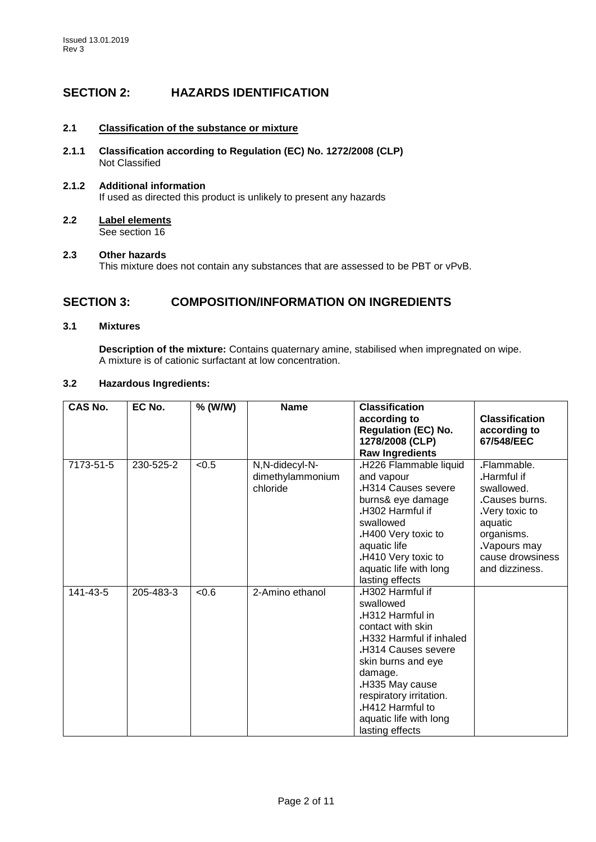## **SECTION 2: HAZARDS IDENTIFICATION**

## **2.1 Classification of the substance or mixture**

**2.1.1 Classification according to Regulation (EC) No. 1272/2008 (CLP)** Not Classified

## **2.1.2 Additional information** If used as directed this product is unlikely to present any hazards

**2.2 Label elements** See section 16

### **2.3 Other hazards**

This mixture does not contain any substances that are assessed to be PBT or vPvB.

## **SECTION 3: COMPOSITION/INFORMATION ON INGREDIENTS**

## **3.1 Mixtures**

**Description of the mixture:** Contains quaternary amine, stabilised when impregnated on wipe. A mixture is of cationic surfactant at low concentration.

## **3.2 Hazardous Ingredients:**

| <b>CAS No.</b> | EC No.    | % (W/W) | <b>Name</b>                                    | <b>Classification</b><br>according to<br><b>Regulation (EC) No.</b><br>1278/2008 (CLP)                                                                                                                                                                                          | <b>Classification</b><br>according to<br>67/548/EEC                                                                                                      |
|----------------|-----------|---------|------------------------------------------------|---------------------------------------------------------------------------------------------------------------------------------------------------------------------------------------------------------------------------------------------------------------------------------|----------------------------------------------------------------------------------------------------------------------------------------------------------|
|                |           |         |                                                | <b>Raw Ingredients</b>                                                                                                                                                                                                                                                          |                                                                                                                                                          |
| 7173-51-5      | 230-525-2 | < 0.5   | N,N-didecyl-N-<br>dimethylammonium<br>chloride | .H226 Flammable liquid<br>and vapour<br>.H314 Causes severe<br>burns& eye damage<br>H302 Harmful if<br>swallowed<br>.H400 Very toxic to<br>aquatic life<br>.H410 Very toxic to<br>aquatic life with long<br>lasting effects                                                     | .Flammable.<br>Harmful if<br>swallowed.<br>.Causes burns.<br>Very toxic to<br>aquatic<br>organisms.<br>Vapours may<br>cause drowsiness<br>and dizziness. |
| 141-43-5       | 205-483-3 | < 0.6   | 2-Amino ethanol                                | .H302 Harmful if<br>swallowed<br>.H312 Harmful in<br>contact with skin<br>.H332 Harmful if inhaled<br><b>H314 Causes severe</b><br>skin burns and eye<br>damage.<br>.H335 May cause<br>respiratory irritation.<br>.H412 Harmful to<br>aquatic life with long<br>lasting effects |                                                                                                                                                          |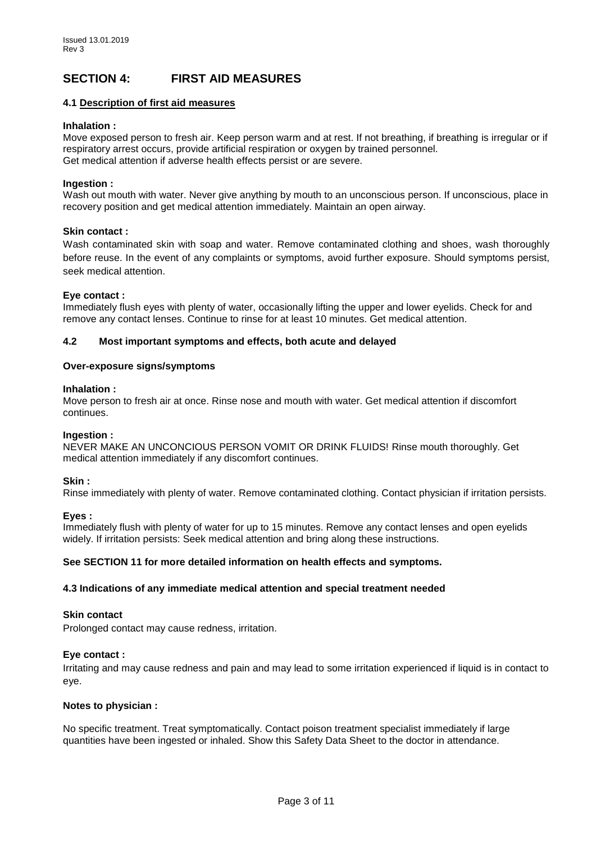## **SECTION 4: FIRST AID MEASURES**

## **4.1 Description of first aid measures**

### **Inhalation :**

Move exposed person to fresh air. Keep person warm and at rest. If not breathing, if breathing is irregular or if respiratory arrest occurs, provide artificial respiration or oxygen by trained personnel. Get medical attention if adverse health effects persist or are severe.

### **Ingestion :**

Wash out mouth with water. Never give anything by mouth to an unconscious person. If unconscious, place in recovery position and get medical attention immediately. Maintain an open airway.

### **Skin contact :**

Wash contaminated skin with soap and water. Remove contaminated clothing and shoes, wash thoroughly before reuse. In the event of any complaints or symptoms, avoid further exposure. Should symptoms persist, seek medical attention.

### **Eye contact :**

Immediately flush eyes with plenty of water, occasionally lifting the upper and lower eyelids. Check for and remove any contact lenses. Continue to rinse for at least 10 minutes. Get medical attention.

### **4.2 Most important symptoms and effects, both acute and delayed**

### **Over-exposure signs/symptoms**

### **Inhalation :**

Move person to fresh air at once. Rinse nose and mouth with water. Get medical attention if discomfort continues.

### **Ingestion :**

NEVER MAKE AN UNCONCIOUS PERSON VOMIT OR DRINK FLUIDS! Rinse mouth thoroughly. Get medical attention immediately if any discomfort continues.

### **Skin :**

Rinse immediately with plenty of water. Remove contaminated clothing. Contact physician if irritation persists.

### **Eyes :**

Immediately flush with plenty of water for up to 15 minutes. Remove any contact lenses and open eyelids widely. If irritation persists: Seek medical attention and bring along these instructions.

### **See SECTION 11 for more detailed information on health effects and symptoms.**

### **4.3 Indications of any immediate medical attention and special treatment needed**

### **Skin contact**

Prolonged contact may cause redness, irritation.

### **Eye contact :**

Irritating and may cause redness and pain and may lead to some irritation experienced if liquid is in contact to eye.

### **Notes to physician :**

No specific treatment. Treat symptomatically. Contact poison treatment specialist immediately if large quantities have been ingested or inhaled. Show this Safety Data Sheet to the doctor in attendance.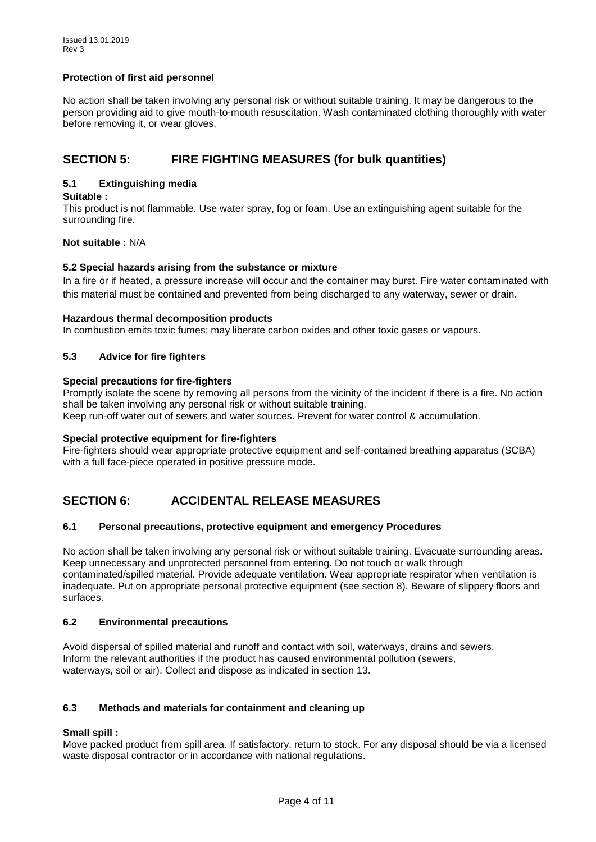## **Protection of first aid personnel**

No action shall be taken involving any personal risk or without suitable training. It may be dangerous to the person providing aid to give mouth-to-mouth resuscitation. Wash contaminated clothing thoroughly with water before removing it, or wear gloves.

## **SECTION 5: FIRE FIGHTING MEASURES (for bulk quantities)**

## **5.1 Extinguishing media**

## **Suitable :**

This product is not flammable. Use water spray, fog or foam. Use an extinguishing agent suitable for the surrounding fire.

**Not suitable :** N/A

### **5.2 Special hazards arising from the substance or mixture**

In a fire or if heated, a pressure increase will occur and the container may burst. Fire water contaminated with this material must be contained and prevented from being discharged to any waterway, sewer or drain.

### **Hazardous thermal decomposition products**

In combustion emits toxic fumes; may liberate carbon oxides and other toxic gases or vapours.

## **5.3 Advice for fire fighters**

### **Special precautions for fire-fighters**

Promptly isolate the scene by removing all persons from the vicinity of the incident if there is a fire. No action shall be taken involving any personal risk or without suitable training.

Keep run-off water out of sewers and water sources. Prevent for water control & accumulation.

### **Special protective equipment for fire-fighters**

Fire-fighters should wear appropriate protective equipment and self-contained breathing apparatus (SCBA) with a full face-piece operated in positive pressure mode.

## **SECTION 6: ACCIDENTAL RELEASE MEASURES**

## **6.1 Personal precautions, protective equipment and emergency Procedures**

No action shall be taken involving any personal risk or without suitable training. Evacuate surrounding areas. Keep unnecessary and unprotected personnel from entering. Do not touch or walk through contaminated/spilled material. Provide adequate ventilation. Wear appropriate respirator when ventilation is inadequate. Put on appropriate personal protective equipment (see section 8). Beware of slippery floors and surfaces.

### **6.2 Environmental precautions**

Avoid dispersal of spilled material and runoff and contact with soil, waterways, drains and sewers. Inform the relevant authorities if the product has caused environmental pollution (sewers, waterways, soil or air). Collect and dispose as indicated in section 13.

## **6.3 Methods and materials for containment and cleaning up**

### **Small spill :**

Move packed product from spill area. If satisfactory, return to stock. For any disposal should be via a licensed waste disposal contractor or in accordance with national regulations.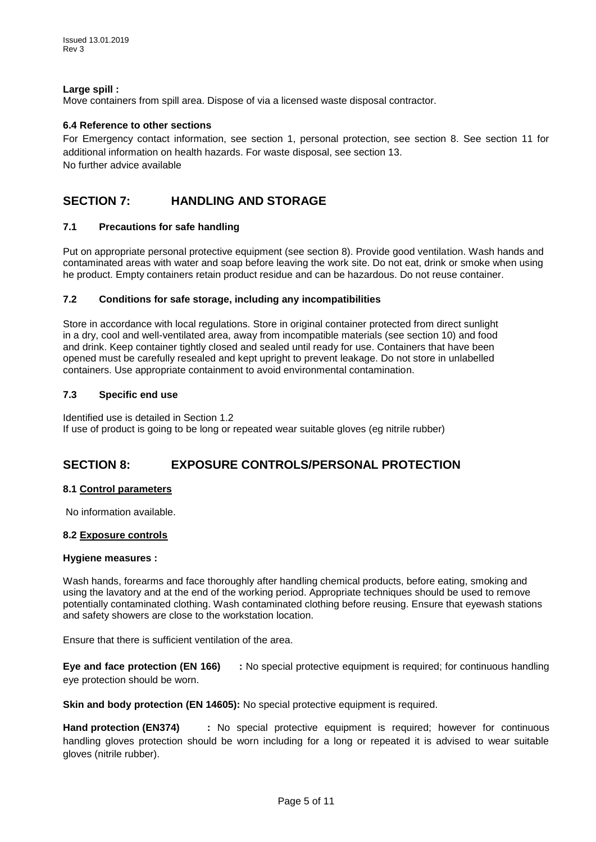## **Large spill :**

Move containers from spill area. Dispose of via a licensed waste disposal contractor.

## **6.4 Reference to other sections**

For Emergency contact information, see section 1, personal protection, see section 8. See section 11 for additional information on health hazards. For waste disposal, see section 13. No further advice available

## **SECTION 7: HANDLING AND STORAGE**

## **7.1 Precautions for safe handling**

Put on appropriate personal protective equipment (see section 8). Provide good ventilation. Wash hands and contaminated areas with water and soap before leaving the work site. Do not eat, drink or smoke when using he product. Empty containers retain product residue and can be hazardous. Do not reuse container.

### **7.2 Conditions for safe storage, including any incompatibilities**

Store in accordance with local regulations. Store in original container protected from direct sunlight in a dry, cool and well-ventilated area, away from incompatible materials (see section 10) and food and drink. Keep container tightly closed and sealed until ready for use. Containers that have been opened must be carefully resealed and kept upright to prevent leakage. Do not store in unlabelled containers. Use appropriate containment to avoid environmental contamination.

### **7.3 Specific end use**

Identified use is detailed in Section 1.2 If use of product is going to be long or repeated wear suitable gloves (eg nitrile rubber)

## **SECTION 8: EXPOSURE CONTROLS/PERSONAL PROTECTION**

### **8.1 Control parameters**

No information available.

### **8.2 Exposure controls**

### **Hygiene measures :**

Wash hands, forearms and face thoroughly after handling chemical products, before eating, smoking and using the lavatory and at the end of the working period. Appropriate techniques should be used to remove potentially contaminated clothing. Wash contaminated clothing before reusing. Ensure that eyewash stations and safety showers are close to the workstation location.

Ensure that there is sufficient ventilation of the area.

**Eye and face protection (EN 166) :** No special protective equipment is required; for continuous handling eye protection should be worn.

**Skin and body protection (EN 14605):** No special protective equipment is required.

**Hand protection (EN374) :** No special protective equipment is required; however for continuous handling gloves protection should be worn including for a long or repeated it is advised to wear suitable gloves (nitrile rubber).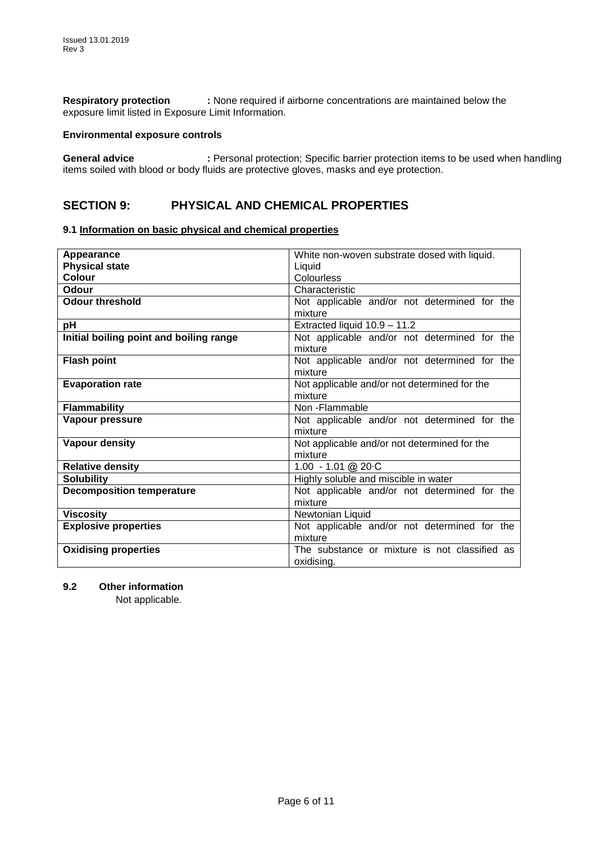**Respiratory protection :** None required if airborne concentrations are maintained below the exposure limit listed in Exposure Limit Information.

### **Environmental exposure controls**

**General advice :** Personal protection; Specific barrier protection items to be used when handling items soiled with blood or body fluids are protective gloves, masks and eye protection.

## **SECTION 9: PHYSICAL AND CHEMICAL PROPERTIES**

## **9.1 Information on basic physical and chemical properties**

| Appearance                              | White non-woven substrate dosed with liquid.  |  |
|-----------------------------------------|-----------------------------------------------|--|
| <b>Physical state</b>                   | Liquid                                        |  |
| <b>Colour</b>                           | Colourless                                    |  |
| Odour                                   | Characteristic                                |  |
| <b>Odour threshold</b>                  | Not applicable and/or not determined for the  |  |
|                                         | mixture                                       |  |
| pH                                      | Extracted liquid 10.9 - 11.2                  |  |
| Initial boiling point and boiling range | Not applicable and/or not determined for the  |  |
|                                         | mixture                                       |  |
| <b>Flash point</b>                      | Not applicable and/or not determined for the  |  |
|                                         | mixture                                       |  |
| <b>Evaporation rate</b>                 | Not applicable and/or not determined for the  |  |
|                                         | mixture                                       |  |
| <b>Flammability</b>                     | Non-Flammable                                 |  |
| Vapour pressure                         | Not applicable and/or not determined for the  |  |
|                                         | mixture                                       |  |
| Vapour density                          | Not applicable and/or not determined for the  |  |
|                                         | mixture                                       |  |
| <b>Relative density</b>                 | 1.00 $-1.01$ @ 20 $\cdot$ C                   |  |
| <b>Solubility</b>                       | Highly soluble and miscible in water          |  |
| <b>Decomposition temperature</b>        | Not applicable and/or not determined for the  |  |
|                                         | mixture                                       |  |
| <b>Viscosity</b>                        | Newtonian Liquid                              |  |
| <b>Explosive properties</b>             | Not applicable and/or not determined for the  |  |
|                                         | mixture                                       |  |
| <b>Oxidising properties</b>             | The substance or mixture is not classified as |  |
|                                         | oxidising.                                    |  |

**9.2 Other information**

Not applicable.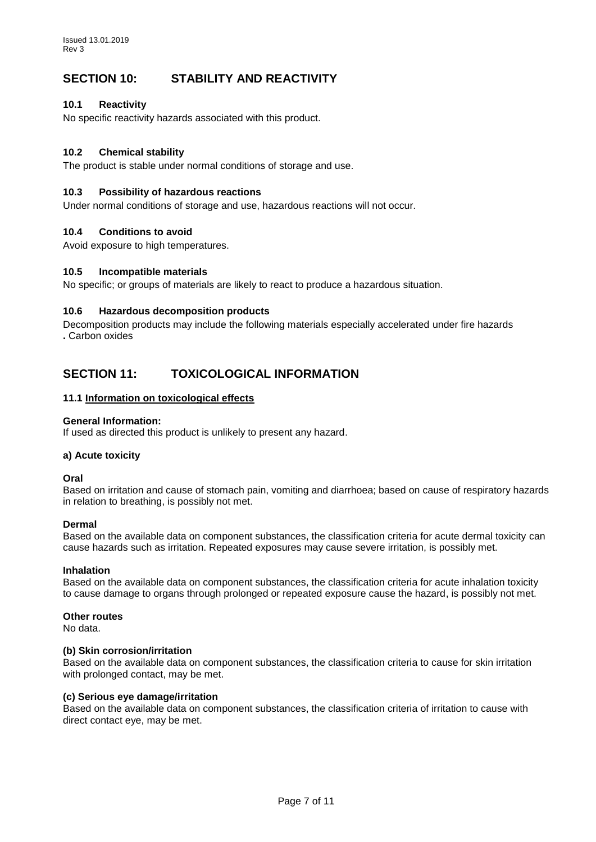## **SECTION 10: STABILITY AND REACTIVITY**

## **10.1 Reactivity**

No specific reactivity hazards associated with this product.

## **10.2 Chemical stability**

The product is stable under normal conditions of storage and use.

### **10.3 Possibility of hazardous reactions**

Under normal conditions of storage and use, hazardous reactions will not occur.

### **10.4 Conditions to avoid**

Avoid exposure to high temperatures.

### **10.5 Incompatible materials**

No specific; or groups of materials are likely to react to produce a hazardous situation.

### **10.6 Hazardous decomposition products**

Decomposition products may include the following materials especially accelerated under fire hazards **.** Carbon oxides

## **SECTION 11: TOXICOLOGICAL INFORMATION**

### **11.1 Information on toxicological effects**

### **General Information:**

If used as directed this product is unlikely to present any hazard.

### **a) Acute toxicity**

**Oral**

Based on irritation and cause of stomach pain, vomiting and diarrhoea; based on cause of respiratory hazards in relation to breathing, is possibly not met.

### **Dermal**

Based on the available data on component substances, the classification criteria for acute dermal toxicity can cause hazards such as irritation. Repeated exposures may cause severe irritation, is possibly met.

### **Inhalation**

Based on the available data on component substances, the classification criteria for acute inhalation toxicity to cause damage to organs through prolonged or repeated exposure cause the hazard, is possibly not met.

### **Other routes**

No data.

### **(b) Skin corrosion/irritation**

Based on the available data on component substances, the classification criteria to cause for skin irritation with prolonged contact, may be met.

### **(c) Serious eye damage/irritation**

Based on the available data on component substances, the classification criteria of irritation to cause with direct contact eye, may be met.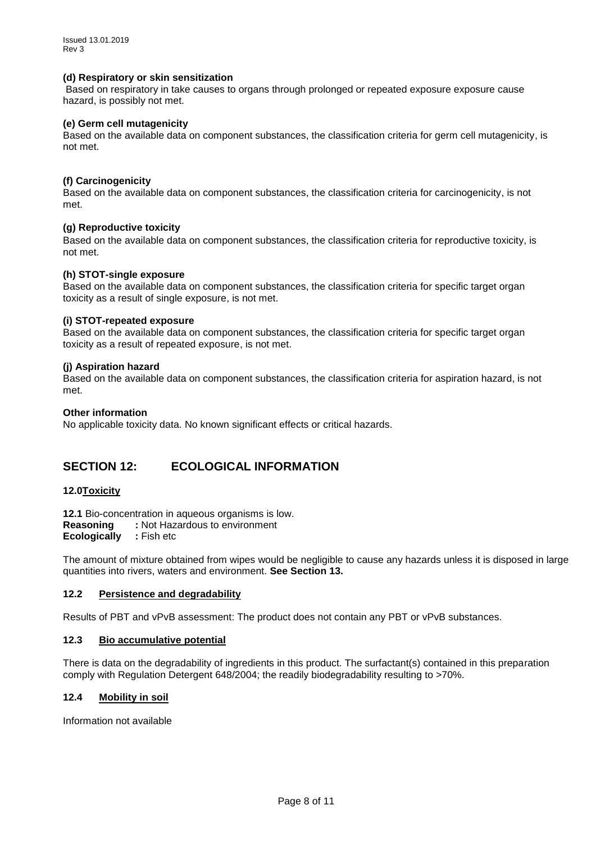### **(d) Respiratory or skin sensitization**

Based on respiratory in take causes to organs through prolonged or repeated exposure exposure cause hazard, is possibly not met.

### **(e) Germ cell mutagenicity**

Based on the available data on component substances, the classification criteria for germ cell mutagenicity, is not met.

### **(f) Carcinogenicity**

Based on the available data on component substances, the classification criteria for carcinogenicity, is not met.

### **(g) Reproductive toxicity**

Based on the available data on component substances, the classification criteria for reproductive toxicity, is not met.

### **(h) STOT-single exposure**

Based on the available data on component substances, the classification criteria for specific target organ toxicity as a result of single exposure, is not met.

### **(i) STOT-repeated exposure**

Based on the available data on component substances, the classification criteria for specific target organ toxicity as a result of repeated exposure, is not met.

### **(j) Aspiration hazard**

Based on the available data on component substances, the classification criteria for aspiration hazard, is not met.

### **Other information**

No applicable toxicity data. No known significant effects or critical hazards.

## **SECTION 12: ECOLOGICAL INFORMATION**

### **12.0Toxicity**

**12.1** Bio-concentration in aqueous organisms is low. **Reasoning :** Not Hazardous to environment **Ecologically :** Fish etc

The amount of mixture obtained from wipes would be negligible to cause any hazards unless it is disposed in large quantities into rivers, waters and environment. **See Section 13.**

### **12.2 Persistence and degradability**

Results of PBT and vPvB assessment: The product does not contain any PBT or vPvB substances.

### **12.3 Bio accumulative potential**

There is data on the degradability of ingredients in this product. The surfactant(s) contained in this preparation comply with Regulation Detergent 648/2004; the readily biodegradability resulting to >70%.

### **12.4 Mobility in soil**

Information not available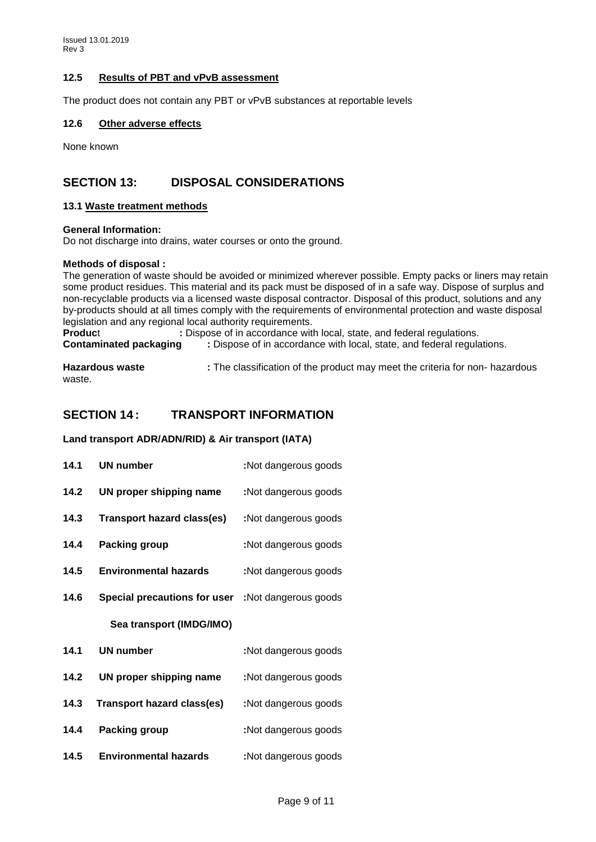## **12.5 Results of PBT and vPvB assessment**

The product does not contain any PBT or vPvB substances at reportable levels

#### **12.6 Other adverse effects**

None known

## **SECTION 13: DISPOSAL CONSIDERATIONS**

#### **13.1 Waste treatment methods**

#### **General Information:**

Do not discharge into drains, water courses or onto the ground.

#### **Methods of disposal :**

The generation of waste should be avoided or minimized wherever possible. Empty packs or liners may retain some product residues. This material and its pack must be disposed of in a safe way. Dispose of surplus and non-recyclable products via a licensed waste disposal contractor. Disposal of this product, solutions and any by-products should at all times comply with the requirements of environmental protection and waste disposal legislation and any regional local authority requirements.

**Product** : Dispose of in accordance with local, state, and federal regulations.<br>**Contaminated packaging** : Dispose of in accordance with local, state, and federal regulations. **Contaminated packaging :** Dispose of in accordance with local, state, and federal regulations.

**Hazardous waste :** The classification of the product may meet the criteria for non- hazardous waste.

## **SECTION 14 : TRANSPORT INFORMATION**

#### **Land transport ADR/ADN/RID) & Air transport (IATA)**

| 14.1 | <b>UN number</b>                    | :Not dangerous goods |
|------|-------------------------------------|----------------------|
| 14.2 | UN proper shipping name             | :Not dangerous goods |
| 14.3 | Transport hazard class(es)          | :Not dangerous goods |
| 14.4 | <b>Packing group</b>                | :Not dangerous goods |
| 14.5 | <b>Environmental hazards</b>        | :Not dangerous goods |
| 14.6 | <b>Special precautions for user</b> | :Not dangerous goods |
|      | Sea transport (IMDG/IMO)            |                      |
| 14.1 | <b>UN number</b>                    | :Not dangerous goods |
| 14.2 | UN proper shipping name             | :Not dangerous goods |
|      |                                     |                      |
| 14.3 | <b>Transport hazard class(es)</b>   | :Not dangerous goods |
| 14.4 | <b>Packing group</b>                | :Not dangerous goods |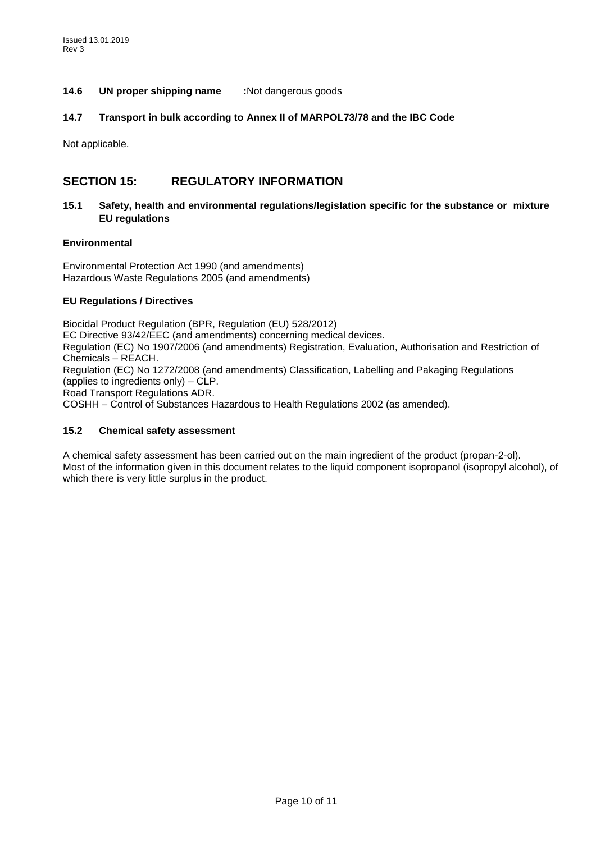## **14.6 UN proper shipping name :**Not dangerous goods

### **14.7 Transport in bulk according to Annex II of MARPOL73/78 and the IBC Code**

Not applicable.

## **SECTION 15: REGULATORY INFORMATION**

## **15.1 Safety, health and environmental regulations/legislation specific for the substance or mixture EU regulations**

### **Environmental**

Environmental Protection Act 1990 (and amendments) Hazardous Waste Regulations 2005 (and amendments)

## **EU Regulations / Directives**

Biocidal Product Regulation (BPR, Regulation (EU) 528/2012) EC Directive 93/42/EEC (and amendments) concerning medical devices. Regulation (EC) No 1907/2006 (and amendments) Registration, Evaluation, Authorisation and Restriction of Chemicals – REACH. Regulation (EC) No 1272/2008 (and amendments) Classification, Labelling and Pakaging Regulations (applies to ingredients only) – CLP. Road Transport Regulations ADR. COSHH – Control of Substances Hazardous to Health Regulations 2002 (as amended).

## **15.2 Chemical safety assessment**

A chemical safety assessment has been carried out on the main ingredient of the product (propan-2-ol). Most of the information given in this document relates to the liquid component isopropanol (isopropyl alcohol), of which there is very little surplus in the product.